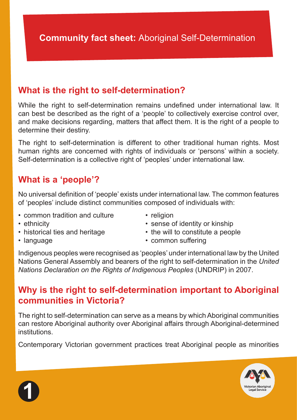# **What is the right to self-determination?**

While the right to self-determination remains undefined under international law. It can best be described as the right of a 'people' to collectively exercise control over, and make decisions regarding, matters that affect them. It is the right of a people to determine their destiny.

The right to self-determination is different to other traditional human rights. Most human rights are concerned with rights of individuals or 'persons' within a society. Self-determination is a collective right of 'peoples' under international law.

# **What is a 'people'?**

No universal definition of 'people' exists under international law. The common features of 'peoples' include distinct communities composed of individuals with:

- common tradition and culture
- religion

- ethnicity
- historical ties and heritage
- the will to constitute a people

• sense of identity or kinship

• language

• common suffering

Indigenous peoples were recognised as 'peoples' under international law by the United Nations General Assembly and bearers of the right to self-determination in the *United Nations Declaration on the Rights of Indigenous Peoples* (UNDRIP) in 2007.

# **Why is the right to self-determination important to Aboriginal communities in Victoria?**

The right to self-determination can serve as a means by which Aboriginal communities can restore Aboriginal authority over Aboriginal affairs through Aboriginal-determined institutions.

Contemporary Victorian government practices treat Aboriginal people as minorities



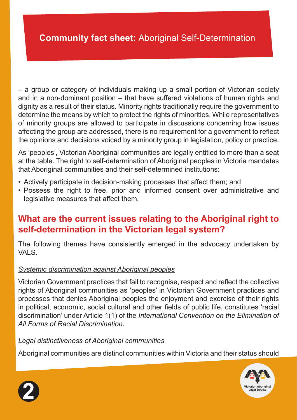– a group or category of individuals making up a small portion of Victorian society and in a non-dominant position – that have suffered violations of human rights and dignity as a result of their status. Minority rights traditionally require the government to determine the means by which to protect the rights of minorities. While representatives of minority groups are allowed to participate in discussions concerning how issues affecting the group are addressed, there is no requirement for a government to reflect the opinions and decisions voiced by a minority group in legislation, policy or practice.

As 'peoples', Victorian Aboriginal communities are legally entitled to more than a seat at the table. The right to self-determination of Aboriginal peoples in Victoria mandates that Aboriginal communities and their self-determined institutions:

- Actively participate in decision-making processes that affect them; and
- Possess the right to free, prior and informed consent over administrative and legislative measures that affect them.

### **What are the current issues relating to the Aboriginal right to self-determination in the Victorian legal system?**

The following themes have consistently emerged in the advocacy undertaken by VALS.

#### *Systemic discrimination against Aboriginal peoples*

Victorian Government practices that fail to recognise, respect and reflect the collective rights of Aboriginal communities as 'peoples' in Victorian Government practices and processes that denies Aboriginal peoples the enjoyment and exercise of their rights in political, economic, social cultural and other fields of public life, constitutes 'racial discrimination' under Article 1(1) of the *International Convention on the Elimination of All Forms of Racial Discrimination*.

#### *Legal distinctiveness of Aboriginal communities*

Aboriginal communities are distinct communities within Victoria and their status should



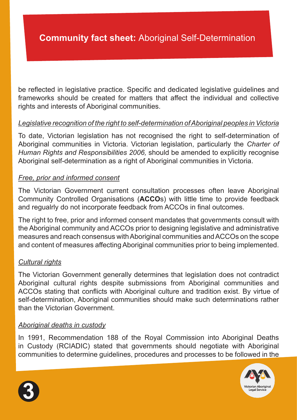be reflected in legislative practice. Specific and dedicated legislative guidelines and frameworks should be created for matters that affect the individual and collective rights and interests of Aboriginal communities.

#### *Legislative recognition of the right to self-determination of Aboriginal peoples in Victoria*

To date, Victorian legislation has not recognised the right to self-determination of Aboriginal communities in Victoria. Victorian legislation, particularly the *Charter of Human Rights and Responsibilities 2006,* should be amended to explicitly recognise Aboriginal self-determination as a right of Aboriginal communities in Victoria.

#### *Free, prior and informed consent*

The Victorian Government current consultation processes often leave Aboriginal Community Controlled Organisations (**ACCO**s) with little time to provide feedback and regualrly do not incorporate feedback from ACCOs in final outcomes.

The right to free, prior and informed consent mandates that governments consult with the Aboriginal community and ACCOs prior to designing legislative and administrative measures and reach consensus with Aboriginal communities and ACCOs on the scope and content of measures affecting Aboriginal communities prior to being implemented.

#### *Cultural rights*

The Victorian Government generally determines that legislation does not contradict Aboriginal cultural rights despite submissions from Aboriginal communities and ACCOs stating that conflicts with Aboriginal culture and tradition exist. By virtue of self-determination, Aboriginal communities should make such determinations rather than the Victorian Government.

#### *Aboriginal deaths in custody*

In 1991, Recommendation 188 of the Royal Commission into Aboriginal Deaths in Custody (RCIADIC) stated that governments should negotiate with Aboriginal communities to determine guidelines, procedures and processes to be followed in the